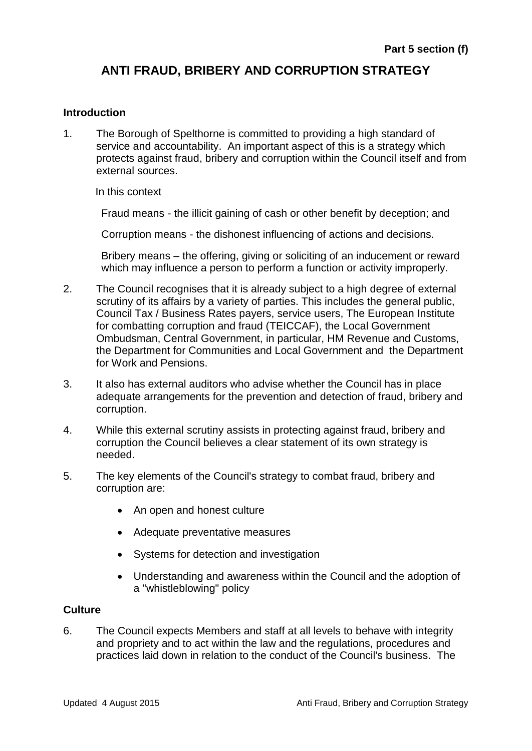# **ANTI FRAUD, BRIBERY AND CORRUPTION STRATEGY**

## **Introduction**

1. The Borough of Spelthorne is committed to providing a high standard of service and accountability. An important aspect of this is a strategy which protects against fraud, bribery and corruption within the Council itself and from external sources.

In this context

Fraud means - the illicit gaining of cash or other benefit by deception; and

Corruption means - the dishonest influencing of actions and decisions.

Bribery means – the offering, giving or soliciting of an inducement or reward which may influence a person to perform a function or activity improperly.

- 2. The Council recognises that it is already subject to a high degree of external scrutiny of its affairs by a variety of parties. This includes the general public, Council Tax / Business Rates payers, service users, The European Institute for combatting corruption and fraud (TEICCAF), the Local Government Ombudsman, Central Government, in particular, HM Revenue and Customs, the Department for Communities and Local Government and the Department for Work and Pensions.
- 3. It also has external auditors who advise whether the Council has in place adequate arrangements for the prevention and detection of fraud, bribery and corruption.
- 4. While this external scrutiny assists in protecting against fraud, bribery and corruption the Council believes a clear statement of its own strategy is needed.
- 5. The key elements of the Council's strategy to combat fraud, bribery and corruption are:
	- An open and honest culture
	- Adequate preventative measures
	- Systems for detection and investigation
	- Understanding and awareness within the Council and the adoption of a "whistleblowing" policy

## **Culture**

6. The Council expects Members and staff at all levels to behave with integrity and propriety and to act within the law and the regulations, procedures and practices laid down in relation to the conduct of the Council's business. The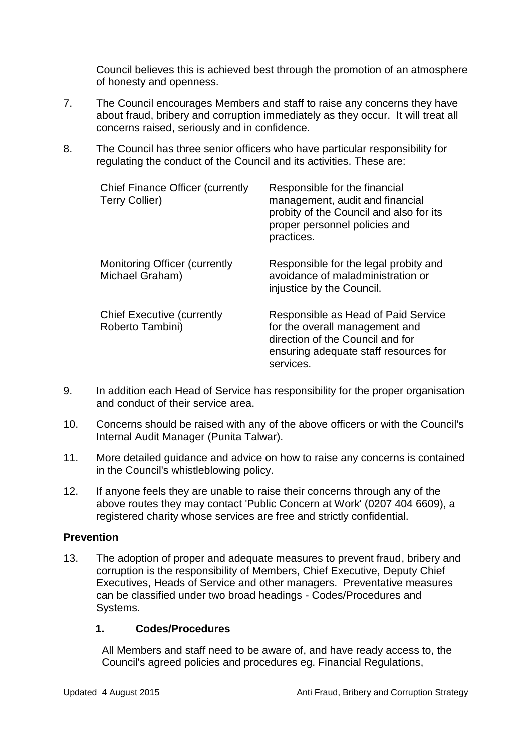Council believes this is achieved best through the promotion of an atmosphere of honesty and openness.

- 7. The Council encourages Members and staff to raise any concerns they have about fraud, bribery and corruption immediately as they occur. It will treat all concerns raised, seriously and in confidence.
- 8. The Council has three senior officers who have particular responsibility for regulating the conduct of the Council and its activities. These are:

| <b>Chief Finance Officer (currently</b><br><b>Terry Collier)</b> | Responsible for the financial<br>management, audit and financial<br>probity of the Council and also for its<br>proper personnel policies and<br>practices.      |
|------------------------------------------------------------------|-----------------------------------------------------------------------------------------------------------------------------------------------------------------|
| Monitoring Officer (currently<br>Michael Graham)                 | Responsible for the legal probity and<br>avoidance of maladministration or<br>injustice by the Council.                                                         |
| <b>Chief Executive (currently</b><br>Roberto Tambini)            | Responsible as Head of Paid Service<br>for the overall management and<br>direction of the Council and for<br>ensuring adequate staff resources for<br>services. |

- 9. In addition each Head of Service has responsibility for the proper organisation and conduct of their service area.
- 10. Concerns should be raised with any of the above officers or with the Council's Internal Audit Manager (Punita Talwar).
- 11. More detailed guidance and advice on how to raise any concerns is contained in the Council's whistleblowing policy.
- 12. If anyone feels they are unable to raise their concerns through any of the above routes they may contact 'Public Concern at Work' (0207 404 6609), a registered charity whose services are free and strictly confidential.

## **Prevention**

13. The adoption of proper and adequate measures to prevent fraud, bribery and corruption is the responsibility of Members, Chief Executive, Deputy Chief Executives, Heads of Service and other managers. Preventative measures can be classified under two broad headings - Codes/Procedures and Systems.

## **1. Codes/Procedures**

All Members and staff need to be aware of, and have ready access to, the Council's agreed policies and procedures eg. Financial Regulations,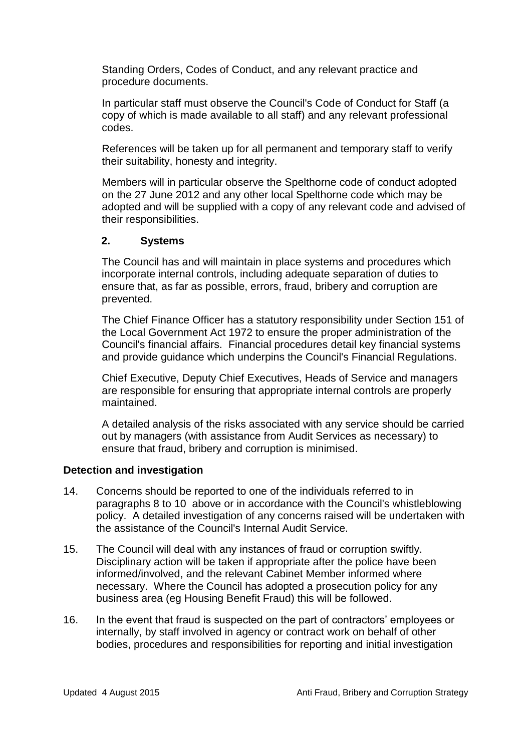Standing Orders, Codes of Conduct, and any relevant practice and procedure documents.

In particular staff must observe the Council's Code of Conduct for Staff (a copy of which is made available to all staff) and any relevant professional codes.

References will be taken up for all permanent and temporary staff to verify their suitability, honesty and integrity.

Members will in particular observe the Spelthorne code of conduct adopted on the 27 June 2012 and any other local Spelthorne code which may be adopted and will be supplied with a copy of any relevant code and advised of their responsibilities.

## **2. Systems**

The Council has and will maintain in place systems and procedures which incorporate internal controls, including adequate separation of duties to ensure that, as far as possible, errors, fraud, bribery and corruption are prevented.

The Chief Finance Officer has a statutory responsibility under Section 151 of the Local Government Act 1972 to ensure the proper administration of the Council's financial affairs. Financial procedures detail key financial systems and provide guidance which underpins the Council's Financial Regulations.

Chief Executive, Deputy Chief Executives, Heads of Service and managers are responsible for ensuring that appropriate internal controls are properly maintained.

A detailed analysis of the risks associated with any service should be carried out by managers (with assistance from Audit Services as necessary) to ensure that fraud, bribery and corruption is minimised.

## **Detection and investigation**

- 14. Concerns should be reported to one of the individuals referred to in paragraphs 8 to 10 above or in accordance with the Council's whistleblowing policy. A detailed investigation of any concerns raised will be undertaken with the assistance of the Council's Internal Audit Service.
- 15. The Council will deal with any instances of fraud or corruption swiftly. Disciplinary action will be taken if appropriate after the police have been informed/involved, and the relevant Cabinet Member informed where necessary. Where the Council has adopted a prosecution policy for any business area (eg Housing Benefit Fraud) this will be followed.
- 16. In the event that fraud is suspected on the part of contractors' employees or internally, by staff involved in agency or contract work on behalf of other bodies, procedures and responsibilities for reporting and initial investigation